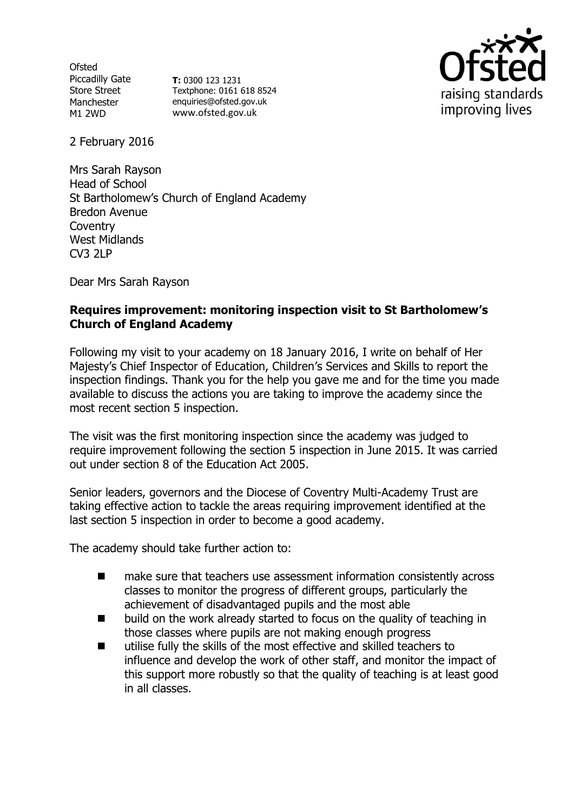**Ofsted** Piccadilly Gate Store Street Manchester M1 2WD

**T:** 0300 123 1231 Textphone: 0161 618 8524 enquiries@ofsted.gov.uk www.ofsted.gov.uk



2 February 2016

Mrs Sarah Rayson Head of School St Bartholomew's Church of England Academy Bredon Avenue Coventry West Midlands CV3 2LP

Dear Mrs Sarah Rayson

### **Requires improvement: monitoring inspection visit to St Bartholomew's Church of England Academy**

Following my visit to your academy on 18 January 2016, I write on behalf of Her Majesty's Chief Inspector of Education, Children's Services and Skills to report the inspection findings. Thank you for the help you gave me and for the time you made available to discuss the actions you are taking to improve the academy since the most recent section 5 inspection.

The visit was the first monitoring inspection since the academy was judged to require improvement following the section 5 inspection in June 2015. It was carried out under section 8 of the Education Act 2005.

Senior leaders, governors and the Diocese of Coventry Multi-Academy Trust are taking effective action to tackle the areas requiring improvement identified at the last section 5 inspection in order to become a good academy.

The academy should take further action to:

- make sure that teachers use assessment information consistently across classes to monitor the progress of different groups, particularly the achievement of disadvantaged pupils and the most able
- build on the work already started to focus on the quality of teaching in those classes where pupils are not making enough progress
- utilise fully the skills of the most effective and skilled teachers to influence and develop the work of other staff, and monitor the impact of this support more robustly so that the quality of teaching is at least good in all classes.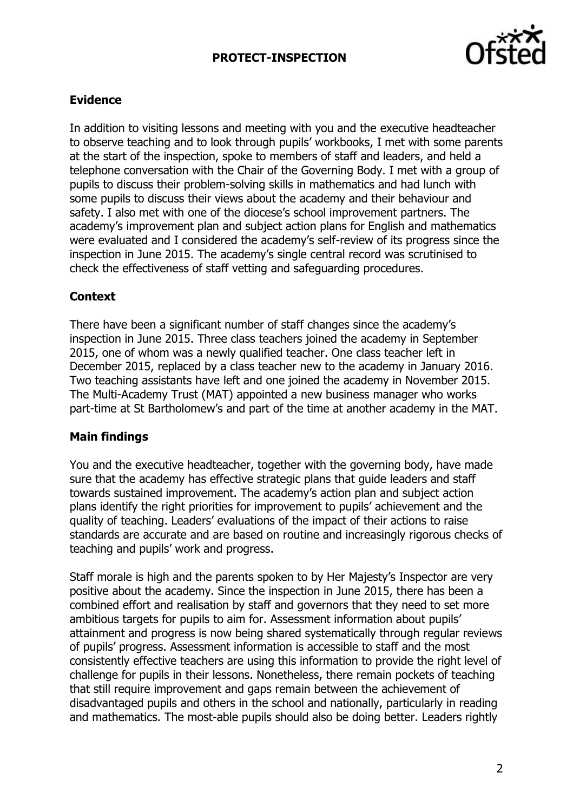# **PROTECT-INSPECTION**



## **Evidence**

In addition to visiting lessons and meeting with you and the executive headteacher to observe teaching and to look through pupils' workbooks, I met with some parents at the start of the inspection, spoke to members of staff and leaders, and held a telephone conversation with the Chair of the Governing Body. I met with a group of pupils to discuss their problem-solving skills in mathematics and had lunch with some pupils to discuss their views about the academy and their behaviour and safety. I also met with one of the diocese's school improvement partners. The academy's improvement plan and subject action plans for English and mathematics were evaluated and I considered the academy's self-review of its progress since the inspection in June 2015. The academy's single central record was scrutinised to check the effectiveness of staff vetting and safeguarding procedures.

#### **Context**

There have been a significant number of staff changes since the academy's inspection in June 2015. Three class teachers joined the academy in September 2015, one of whom was a newly qualified teacher. One class teacher left in December 2015, replaced by a class teacher new to the academy in January 2016. Two teaching assistants have left and one joined the academy in November 2015. The Multi-Academy Trust (MAT) appointed a new business manager who works part-time at St Bartholomew's and part of the time at another academy in the MAT.

#### **Main findings**

You and the executive headteacher, together with the governing body, have made sure that the academy has effective strategic plans that guide leaders and staff towards sustained improvement. The academy's action plan and subject action plans identify the right priorities for improvement to pupils' achievement and the quality of teaching. Leaders' evaluations of the impact of their actions to raise standards are accurate and are based on routine and increasingly rigorous checks of teaching and pupils' work and progress.

Staff morale is high and the parents spoken to by Her Majesty's Inspector are very positive about the academy. Since the inspection in June 2015, there has been a combined effort and realisation by staff and governors that they need to set more ambitious targets for pupils to aim for. Assessment information about pupils' attainment and progress is now being shared systematically through regular reviews of pupils' progress. Assessment information is accessible to staff and the most consistently effective teachers are using this information to provide the right level of challenge for pupils in their lessons. Nonetheless, there remain pockets of teaching that still require improvement and gaps remain between the achievement of disadvantaged pupils and others in the school and nationally, particularly in reading and mathematics. The most-able pupils should also be doing better. Leaders rightly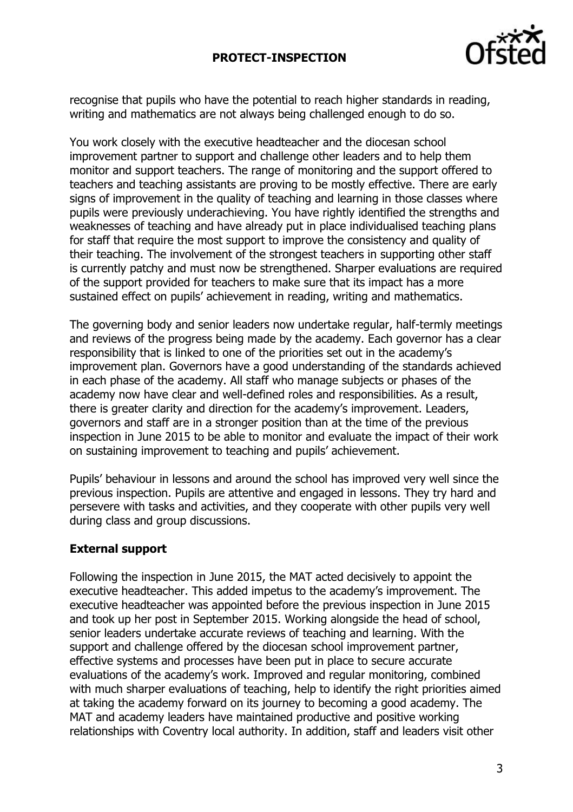## **PROTECT-INSPECTION**



recognise that pupils who have the potential to reach higher standards in reading, writing and mathematics are not always being challenged enough to do so.

You work closely with the executive headteacher and the diocesan school improvement partner to support and challenge other leaders and to help them monitor and support teachers. The range of monitoring and the support offered to teachers and teaching assistants are proving to be mostly effective. There are early signs of improvement in the quality of teaching and learning in those classes where pupils were previously underachieving. You have rightly identified the strengths and weaknesses of teaching and have already put in place individualised teaching plans for staff that require the most support to improve the consistency and quality of their teaching. The involvement of the strongest teachers in supporting other staff is currently patchy and must now be strengthened. Sharper evaluations are required of the support provided for teachers to make sure that its impact has a more sustained effect on pupils' achievement in reading, writing and mathematics.

The governing body and senior leaders now undertake regular, half-termly meetings and reviews of the progress being made by the academy. Each governor has a clear responsibility that is linked to one of the priorities set out in the academy's improvement plan. Governors have a good understanding of the standards achieved in each phase of the academy. All staff who manage subjects or phases of the academy now have clear and well-defined roles and responsibilities. As a result, there is greater clarity and direction for the academy's improvement. Leaders, governors and staff are in a stronger position than at the time of the previous inspection in June 2015 to be able to monitor and evaluate the impact of their work on sustaining improvement to teaching and pupils' achievement.

Pupils' behaviour in lessons and around the school has improved very well since the previous inspection. Pupils are attentive and engaged in lessons. They try hard and persevere with tasks and activities, and they cooperate with other pupils very well during class and group discussions.

#### **External support**

Following the inspection in June 2015, the MAT acted decisively to appoint the executive headteacher. This added impetus to the academy's improvement. The executive headteacher was appointed before the previous inspection in June 2015 and took up her post in September 2015. Working alongside the head of school, senior leaders undertake accurate reviews of teaching and learning. With the support and challenge offered by the diocesan school improvement partner, effective systems and processes have been put in place to secure accurate evaluations of the academy's work. Improved and regular monitoring, combined with much sharper evaluations of teaching, help to identify the right priorities aimed at taking the academy forward on its journey to becoming a good academy. The MAT and academy leaders have maintained productive and positive working relationships with Coventry local authority. In addition, staff and leaders visit other